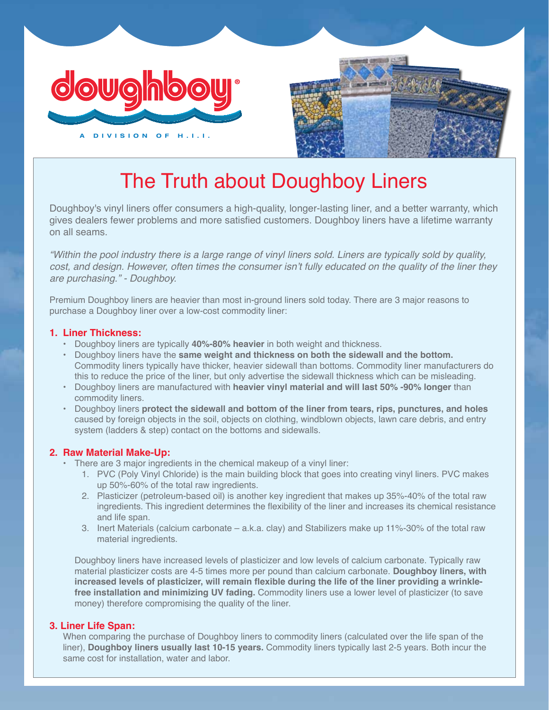



# The Truth about Doughboy Liners

Doughboy's vinyl liners offer consumers a high-quality, longer-lasting liner, and a better warranty, which gives dealers fewer problems and more satisfied customers. Doughboy liners have a lifetime warranty on all seams.

*"Within the pool industry there is a large range of vinyl liners sold. Liners are typically sold by quality,*  cost, and design. However, often times the consumer isn't fully educated on the quality of the liner they *are purchasing." - Doughboy.*

Premium Doughboy liners are heavier than most in-ground liners sold today. There are 3 major reasons to purchase a Doughboy liner over a low-cost commodity liner:

### **1. Liner Thickness:**

- **•** Doughboy liners are typically **40%-80% heavier** in both weight and thickness.
- **•** Doughboy liners have the **same weight and thickness on both the sidewall and the bottom.** Commodity liners typically have thicker, heavier sidewall than bottoms. Commodity liner manufacturers do this to reduce the price of the liner, but only advertise the sidewall thickness which can be misleading.
- **•** Doughboy liners are manufactured with **heavier vinyl material and will last 50% -90% longer** than commodity liners.
- **•** Doughboy liners **protect the sidewall and bottom of the liner from tears, rips, punctures, and holes** caused by foreign objects in the soil, objects on clothing, windblown objects, lawn care debris, and entry system (ladders & step) contact on the bottoms and sidewalls.

#### **2. Raw Material Make-Up:**

- **•** There are 3 major ingredients in the chemical makeup of a vinyl liner:
	- 1. PVC (Poly Vinyl Chloride) is the main building block that goes into creating vinyl liners. PVC makes up 50%-60% of the total raw ingredients.
	- 2. Plasticizer (petroleum-based oil) is another key ingredient that makes up 35%-40% of the total raw ingredients. This ingredient determines the flexibility of the liner and increases its chemical resistance and life span.
	- 3. Inert Materials (calcium carbonate a.k.a. clay) and Stabilizers make up 11%-30% of the total raw material ingredients.

Doughboy liners have increased levels of plasticizer and low levels of calcium carbonate. Typically raw material plasticizer costs are 4-5 times more per pound than calcium carbonate. **Doughboy liners, with increased levels of plasticizer, will remain flexible during the life of the liner providing a wrinkle free installation and minimizing UV fading.** Commodity liners use a lower level of plasticizer (to save money) therefore compromising the quality of the liner.

## **3. Liner Life Span:**

When comparing the purchase of Doughboy liners to commodity liners (calculated over the life span of the liner), **Doughboy liners usually last 10-15 years.** Commodity liners typically last 2-5 years. Both incur the same cost for installation, water and labor.